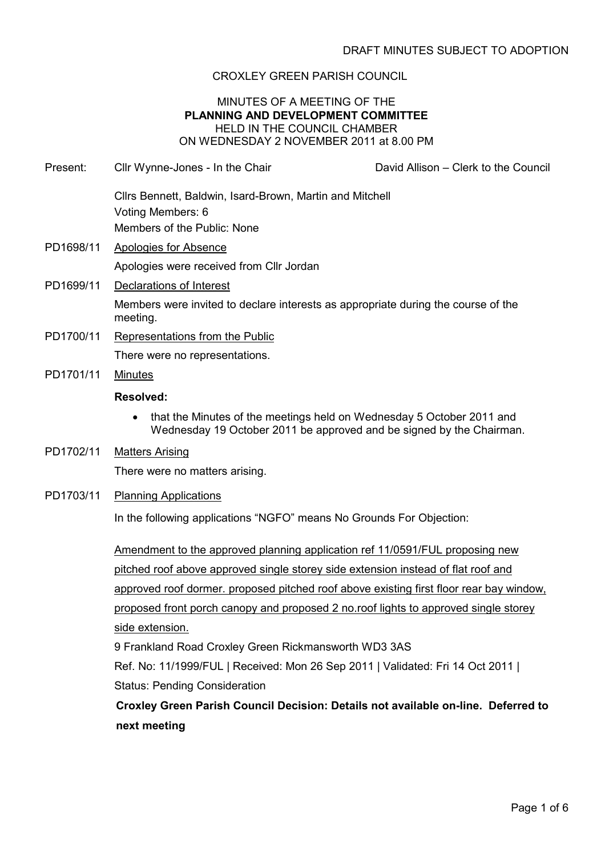### CROXLEY GREEN PARISH COUNCIL

#### MINUTES OF A MEETING OF THE PLANNING AND DEVELOPMENT COMMITTEE HELD IN THE COUNCIL CHAMBER ON WEDNESDAY 2 NOVEMBER 2011 at 8.00 PM

Present: Cllr Wynne-Jones - In the Chair David Allison – Clerk to the Council

- Cllrs Bennett, Baldwin, Isard-Brown, Martin and Mitchell Voting Members: 6 Members of the Public: None PD1698/11 Apologies for Absence Apologies were received from Cllr Jordan PD1699/11 Declarations of Interest Members were invited to declare interests as appropriate during the course of the meeting. PD1700/11 Representations from the Public There were no representations. PD1701/11 Minutes Resolved: • that the Minutes of the meetings held on Wednesday 5 October 2011 and Wednesday 19 October 2011 be approved and be signed by the Chairman. PD1702/11 Matters Arising There were no matters arising.
- PD1703/11 Planning Applications

In the following applications "NGFO" means No Grounds For Objection:

Amendment to the approved planning application ref 11/0591/FUL proposing new pitched roof above approved single storey side extension instead of flat roof and approved roof dormer. proposed pitched roof above existing first floor rear bay window, proposed front porch canopy and proposed 2 no.roof lights to approved single storey side extension.

9 Frankland Road Croxley Green Rickmansworth WD3 3AS

Ref. No: 11/1999/FUL | Received: Mon 26 Sep 2011 | Validated: Fri 14 Oct 2011 | Status: Pending Consideration

Croxley Green Parish Council Decision: Details not available on-line. Deferred to next meeting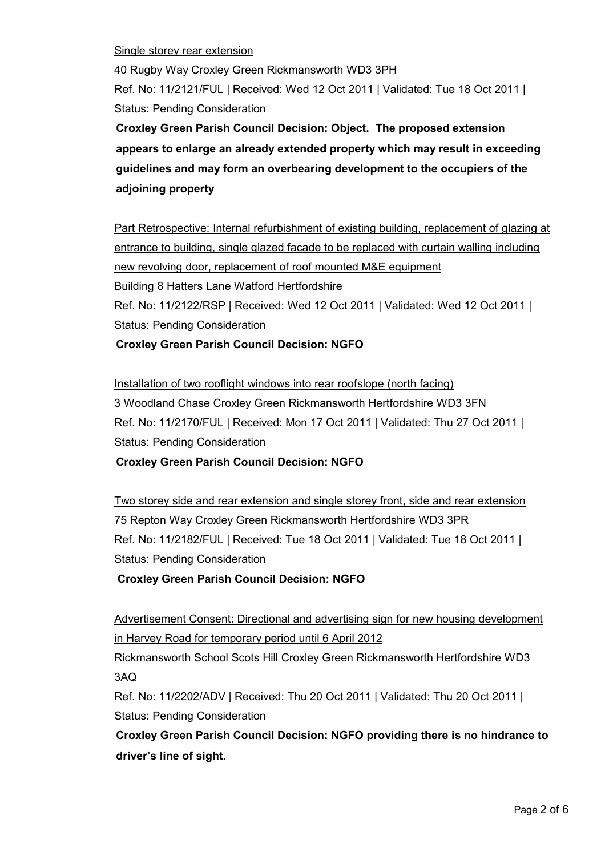Single storey rear extension

40 Rugby Way Croxley Green Rickmansworth WD3 3PH Ref. No: 11/2121/FUL | Received: Wed 12 Oct 2011 | Validated: Tue 18 Oct 2011 | Status: Pending Consideration

Croxley Green Parish Council Decision: Object. The proposed extension appears to enlarge an already extended property which may result in exceeding guidelines and may form an overbearing development to the occupiers of the adjoining property

Part Retrospective: Internal refurbishment of existing building, replacement of glazing at entrance to building, single glazed facade to be replaced with curtain walling including new revolving door, replacement of roof mounted M&E equipment Building 8 Hatters Lane Watford Hertfordshire Ref. No: 11/2122/RSP | Received: Wed 12 Oct 2011 | Validated: Wed 12 Oct 2011 | Status: Pending Consideration

### Croxley Green Parish Council Decision: NGFO

Installation of two rooflight windows into rear roofslope (north facing) 3 Woodland Chase Croxley Green Rickmansworth Hertfordshire WD3 3FN Ref. No: 11/2170/FUL | Received: Mon 17 Oct 2011 | Validated: Thu 27 Oct 2011 | Status: Pending Consideration

Croxley Green Parish Council Decision: NGFO

Two storey side and rear extension and single storey front, side and rear extension 75 Repton Way Croxley Green Rickmansworth Hertfordshire WD3 3PR Ref. No: 11/2182/FUL | Received: Tue 18 Oct 2011 | Validated: Tue 18 Oct 2011 | Status: Pending Consideration

Croxley Green Parish Council Decision: NGFO

Advertisement Consent: Directional and advertising sign for new housing development in Harvey Road for temporary period until 6 April 2012

Rickmansworth School Scots Hill Croxley Green Rickmansworth Hertfordshire WD3 3AQ

Ref. No: 11/2202/ADV | Received: Thu 20 Oct 2011 | Validated: Thu 20 Oct 2011 | Status: Pending Consideration

Croxley Green Parish Council Decision: NGFO providing there is no hindrance to driver's line of sight.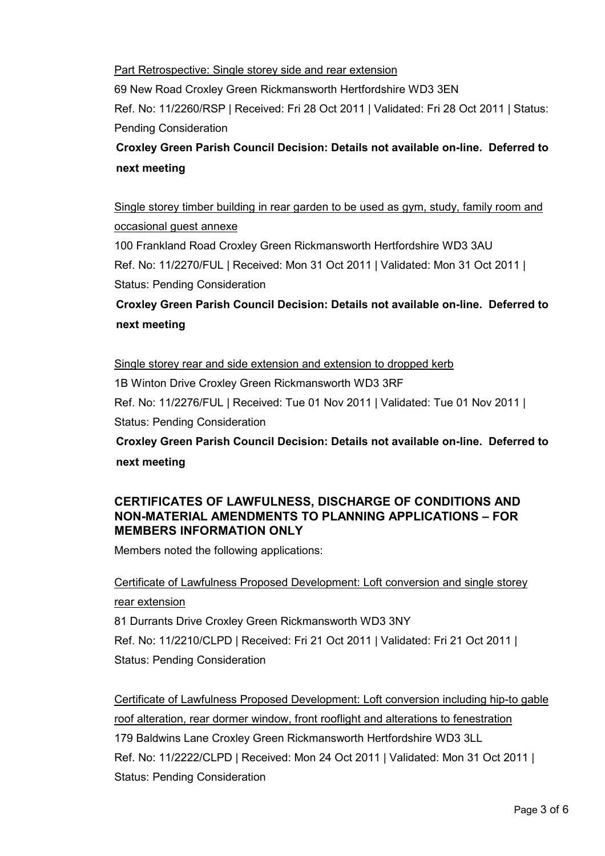Part Retrospective: Single storey side and rear extension

69 New Road Croxley Green Rickmansworth Hertfordshire WD3 3EN

Ref. No: 11/2260/RSP | Received: Fri 28 Oct 2011 | Validated: Fri 28 Oct 2011 | Status: Pending Consideration

Croxley Green Parish Council Decision: Details not available on-line. Deferred to next meeting

Single storey timber building in rear garden to be used as gym, study, family room and occasional guest annexe

100 Frankland Road Croxley Green Rickmansworth Hertfordshire WD3 3AU Ref. No: 11/2270/FUL | Received: Mon 31 Oct 2011 | Validated: Mon 31 Oct 2011 | Status: Pending Consideration

Croxley Green Parish Council Decision: Details not available on-line. Deferred to next meeting

Single storey rear and side extension and extension to dropped kerb

1B Winton Drive Croxley Green Rickmansworth WD3 3RF

Ref. No: 11/2276/FUL | Received: Tue 01 Nov 2011 | Validated: Tue 01 Nov 2011 | Status: Pending Consideration

Croxley Green Parish Council Decision: Details not available on-line. Deferred to next meeting

## CERTIFICATES OF LAWFULNESS, DISCHARGE OF CONDITIONS AND NON-MATERIAL AMENDMENTS TO PLANNING APPLICATIONS – FOR MEMBERS INFORMATION ONLY

Members noted the following applications:

## Certificate of Lawfulness Proposed Development: Loft conversion and single storey

rear extension

81 Durrants Drive Croxley Green Rickmansworth WD3 3NY

Ref. No: 11/2210/CLPD | Received: Fri 21 Oct 2011 | Validated: Fri 21 Oct 2011 | Status: Pending Consideration

Certificate of Lawfulness Proposed Development: Loft conversion including hip-to gable roof alteration, rear dormer window, front rooflight and alterations to fenestration 179 Baldwins Lane Croxley Green Rickmansworth Hertfordshire WD3 3LL Ref. No: 11/2222/CLPD | Received: Mon 24 Oct 2011 | Validated: Mon 31 Oct 2011 | Status: Pending Consideration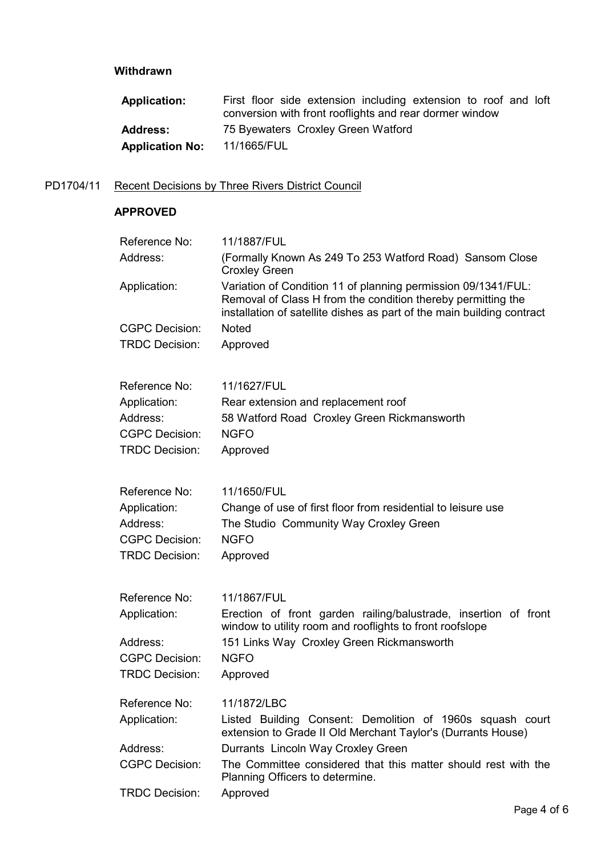## Withdrawn

| <b>Application:</b>    | First floor side extension including extension to roof and loft<br>conversion with front rooflights and rear dormer window |
|------------------------|----------------------------------------------------------------------------------------------------------------------------|
| <b>Address:</b>        | 75 Byewaters Croxley Green Watford                                                                                         |
| <b>Application No:</b> | 11/1665/FUL                                                                                                                |

# PD1704/11 Recent Decisions by Three Rivers District Council

# APPROVED

| Reference No:         | 11/1887/FUL                                                                                                                                                                                             |
|-----------------------|---------------------------------------------------------------------------------------------------------------------------------------------------------------------------------------------------------|
| Address:              | (Formally Known As 249 To 253 Watford Road) Sansom Close<br><b>Croxley Green</b>                                                                                                                        |
| Application:          | Variation of Condition 11 of planning permission 09/1341/FUL:<br>Removal of Class H from the condition thereby permitting the<br>installation of satellite dishes as part of the main building contract |
| <b>CGPC Decision:</b> | <b>Noted</b>                                                                                                                                                                                            |
| <b>TRDC Decision:</b> | Approved                                                                                                                                                                                                |
| Reference No:         | 11/1627/FUL                                                                                                                                                                                             |
| Application:          | Rear extension and replacement roof                                                                                                                                                                     |
| Address:              | 58 Watford Road Croxley Green Rickmansworth                                                                                                                                                             |
| <b>CGPC Decision:</b> | <b>NGFO</b>                                                                                                                                                                                             |
| <b>TRDC Decision:</b> | Approved                                                                                                                                                                                                |
| Reference No:         | 11/1650/FUL                                                                                                                                                                                             |
| Application:          | Change of use of first floor from residential to leisure use                                                                                                                                            |
| Address:              | The Studio Community Way Croxley Green                                                                                                                                                                  |
| <b>CGPC Decision:</b> | <b>NGFO</b>                                                                                                                                                                                             |
| <b>TRDC Decision:</b> | Approved                                                                                                                                                                                                |
| Reference No:         | 11/1867/FUL                                                                                                                                                                                             |
| Application:          | Erection of front garden railing/balustrade, insertion of front<br>window to utility room and rooflights to front roofslope                                                                             |
| Address:              | 151 Links Way Croxley Green Rickmansworth                                                                                                                                                               |
| <b>CGPC Decision:</b> | <b>NGFO</b>                                                                                                                                                                                             |
| <b>TRDC Decision:</b> | Approved                                                                                                                                                                                                |
| Reference No:         | 11/1872/LBC                                                                                                                                                                                             |
| Application:          | Listed Building Consent: Demolition of 1960s squash court<br>extension to Grade II Old Merchant Taylor's (Durrants House)                                                                               |
| Address:              | Durrants Lincoln Way Croxley Green                                                                                                                                                                      |
| <b>CGPC Decision:</b> | The Committee considered that this matter should rest with the<br>Planning Officers to determine.                                                                                                       |
| <b>TRDC Decision:</b> | Approved                                                                                                                                                                                                |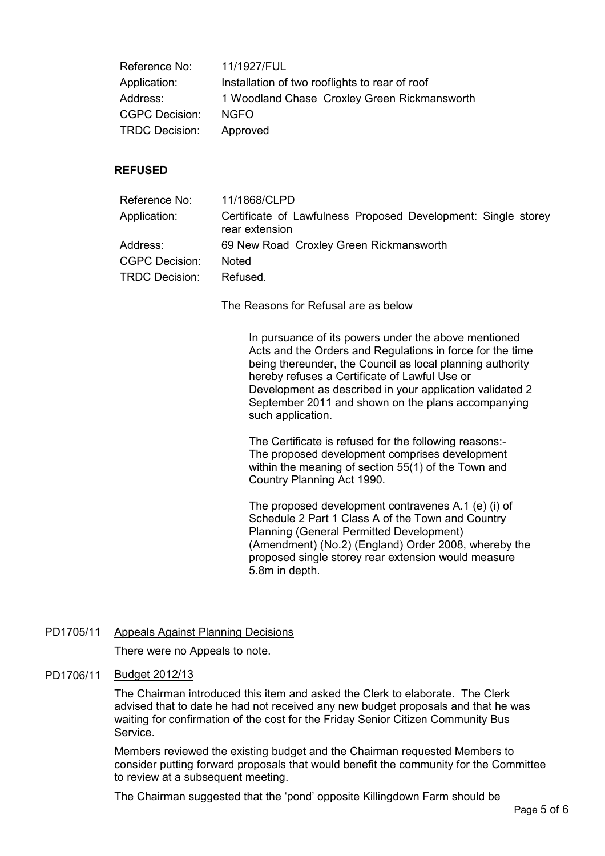| Reference No:         | 11/1927/FUL                                    |
|-----------------------|------------------------------------------------|
| Application:          | Installation of two rooflights to rear of roof |
| Address:              | 1 Woodland Chase Croxley Green Rickmansworth   |
| <b>CGPC Decision:</b> | NGFO.                                          |
| <b>TRDC Decision:</b> | Approved                                       |

### REFUSED

| Reference No:         | 11/1868/CLPD                                                                    |
|-----------------------|---------------------------------------------------------------------------------|
| Application:          | Certificate of Lawfulness Proposed Development: Single storey<br>rear extension |
| Address:              | 69 New Road Croxley Green Rickmansworth                                         |
| <b>CGPC Decision:</b> | Noted                                                                           |
| <b>TRDC Decision:</b> | Refused.                                                                        |

The Reasons for Refusal are as below

 In pursuance of its powers under the above mentioned Acts and the Orders and Regulations in force for the time being thereunder, the Council as local planning authority hereby refuses a Certificate of Lawful Use or Development as described in your application validated 2 September 2011 and shown on the plans accompanying such application.

 The Certificate is refused for the following reasons:- The proposed development comprises development within the meaning of section 55(1) of the Town and Country Planning Act 1990.

 The proposed development contravenes A.1 (e) (i) of Schedule 2 Part 1 Class A of the Town and Country Planning (General Permitted Development) (Amendment) (No.2) (England) Order 2008, whereby the proposed single storey rear extension would measure 5.8m in depth.

PD1705/11 Appeals Against Planning Decisions

There were no Appeals to note.

#### PD1706/11 Budget 2012/13

The Chairman introduced this item and asked the Clerk to elaborate. The Clerk advised that to date he had not received any new budget proposals and that he was waiting for confirmation of the cost for the Friday Senior Citizen Community Bus **Service** 

Members reviewed the existing budget and the Chairman requested Members to consider putting forward proposals that would benefit the community for the Committee to review at a subsequent meeting.

The Chairman suggested that the 'pond' opposite Killingdown Farm should be